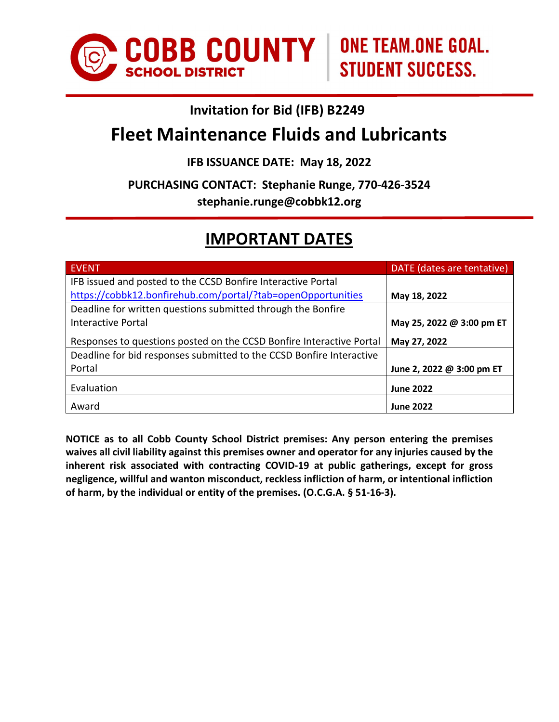

# **Invitation for Bid (IFB) B2249**

# **Fleet Maintenance Fluids and Lubricants**

# **IFB ISSUANCE DATE: May 18, 2022**

**PURCHASING CONTACT: Stephanie Runge, 770-426-3524**

**stephanie.runge@cobbk12.org**

# **IMPORTANT DATES**

| <b>EVENT</b>                                                         | DATE (dates are tentative) |
|----------------------------------------------------------------------|----------------------------|
| IFB issued and posted to the CCSD Bonfire Interactive Portal         |                            |
| https://cobbk12.bonfirehub.com/portal/?tab=openOpportunities         | May 18, 2022               |
| Deadline for written questions submitted through the Bonfire         |                            |
| <b>Interactive Portal</b>                                            | May 25, 2022 @ 3:00 pm ET  |
| Responses to questions posted on the CCSD Bonfire Interactive Portal | May 27, 2022               |
| Deadline for bid responses submitted to the CCSD Bonfire Interactive |                            |
| Portal                                                               | June 2, 2022 @ 3:00 pm ET  |
| Evaluation                                                           | <b>June 2022</b>           |
| Award                                                                | <b>June 2022</b>           |

**NOTICE as to all Cobb County School District premises: Any person entering the premises waives all civil liability against this premises owner and operator for any injuries caused by the inherent risk associated with contracting COVID-19 at public gatherings, except for gross negligence, willful and wanton misconduct, reckless infliction of harm, or intentional infliction of harm, by the individual or entity of the premises. (O.C.G.A. § 51-16-3).**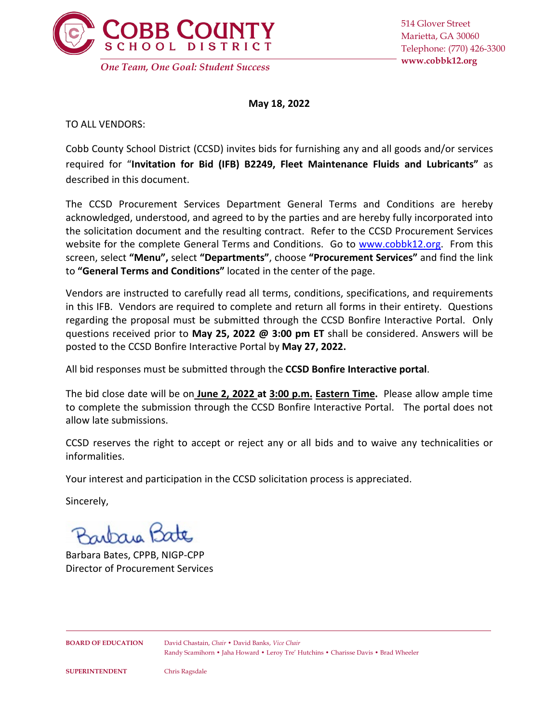

**May 18, 2022**

TO ALL VENDORS:

Cobb County School District (CCSD) invites bids for furnishing any and all goods and/or services required for "**Invitation for Bid (IFB) B2249, Fleet Maintenance Fluids and Lubricants"** as described in this document.

The CCSD Procurement Services Department General Terms and Conditions are hereby acknowledged, understood, and agreed to by the parties and are hereby fully incorporated into the solicitation document and the resulting contract. Refer to the CCSD Procurement Services website for the complete General Terms and Conditions. Go to [www.cobbk12.org.](http://www.cobbk12.org/) From this screen, select **"Menu",** select **"Departments"**, choose **"Procurement Services"** and find the link to **"General Terms and Conditions"** located in the center of the page.

Vendors are instructed to carefully read all terms, conditions, specifications, and requirements in this IFB. Vendors are required to complete and return all forms in their entirety. Questions regarding the proposal must be submitted through the CCSD Bonfire Interactive Portal. Only questions received prior to **May 25, 2022 @ 3:00 pm ET** shall be considered. Answers will be posted to the CCSD Bonfire Interactive Portal by **May 27, 2022.**

All bid responses must be submitted through the **CCSD Bonfire Interactive portal**.

The bid close date will be on **June 2, 2022 at 3:00 p.m. Eastern Time.** Please allow ample time to complete the submission through the CCSD Bonfire Interactive Portal. The portal does not allow late submissions.

CCSD reserves the right to accept or reject any or all bids and to waive any technicalities or informalities.

Your interest and participation in the CCSD solicitation process is appreciated.

Sincerely,

Barbara Bates, CPPB, NIGP-CPP Director of Procurement Services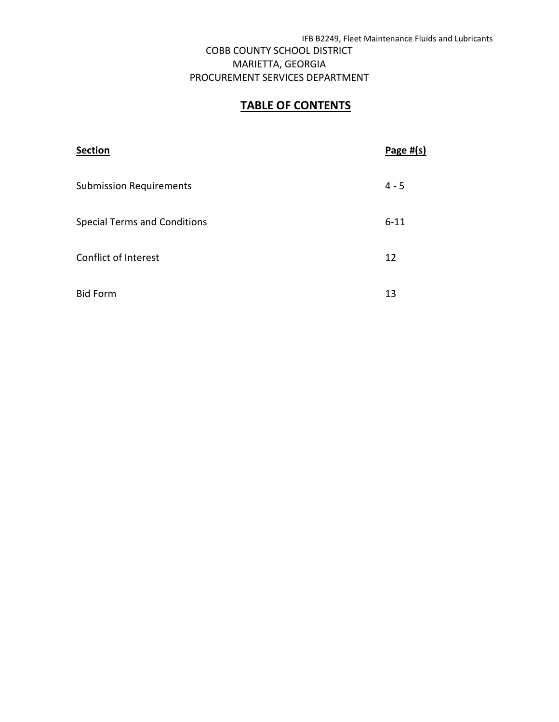# **TABLE OF CONTENTS**

| <b>Section</b>                      | Page $#(s)$ |
|-------------------------------------|-------------|
| <b>Submission Requirements</b>      | $4 - 5$     |
| <b>Special Terms and Conditions</b> | $6 - 11$    |
| Conflict of Interest                | 12          |
| <b>Bid Form</b>                     | 13          |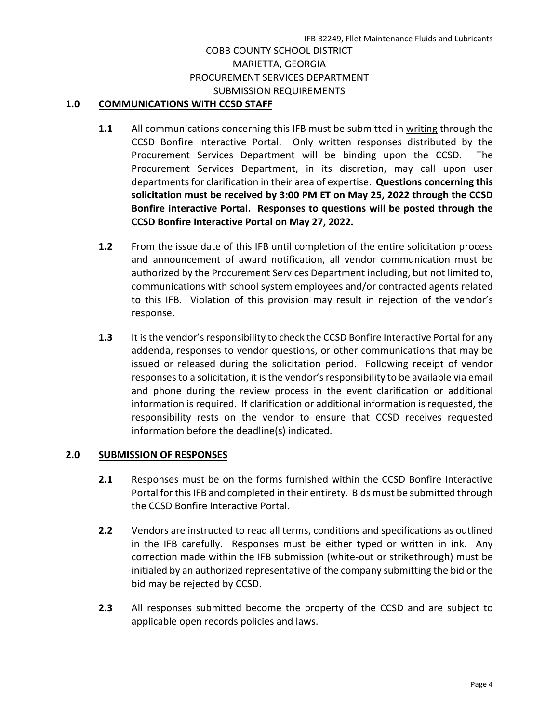## COBB COUNTY SCHOOL DISTRICT MARIETTA, GEORGIA PROCUREMENT SERVICES DEPARTMENT SUBMISSION REQUIREMENTS

#### **1.0 COMMUNICATIONS WITH CCSD STAFF**

- **1.1** All communications concerning this IFB must be submitted in writing through the CCSD Bonfire Interactive Portal. Only written responses distributed by the Procurement Services Department will be binding upon the CCSD. The Procurement Services Department, in its discretion, may call upon user departments for clarification in their area of expertise. **Questions concerning this solicitation must be received by 3:00 PM ET on May 25, 2022 through the CCSD Bonfire interactive Portal. Responses to questions will be posted through the CCSD Bonfire Interactive Portal on May 27, 2022.**
- **1.2** From the issue date of this IFB until completion of the entire solicitation process and announcement of award notification, all vendor communication must be authorized by the Procurement Services Department including, but not limited to, communications with school system employees and/or contracted agents related to this IFB. Violation of this provision may result in rejection of the vendor's response.
- **1.3** It is the vendor's responsibility to check the CCSD Bonfire Interactive Portal for any addenda, responses to vendor questions, or other communications that may be issued or released during the solicitation period. Following receipt of vendor responses to a solicitation, it is the vendor's responsibility to be available via email and phone during the review process in the event clarification or additional information is required. If clarification or additional information is requested, the responsibility rests on the vendor to ensure that CCSD receives requested information before the deadline(s) indicated.

#### **2.0 SUBMISSION OF RESPONSES**

- **2.1** Responses must be on the forms furnished within the CCSD Bonfire Interactive Portal for this IFB and completed in their entirety. Bids must be submitted through the CCSD Bonfire Interactive Portal.
- **2.2** Vendors are instructed to read all terms, conditions and specifications as outlined in the IFB carefully. Responses must be either typed or written in ink. Any correction made within the IFB submission (white-out or strikethrough) must be initialed by an authorized representative of the company submitting the bid or the bid may be rejected by CCSD.
- **2.3** All responses submitted become the property of the CCSD and are subject to applicable open records policies and laws.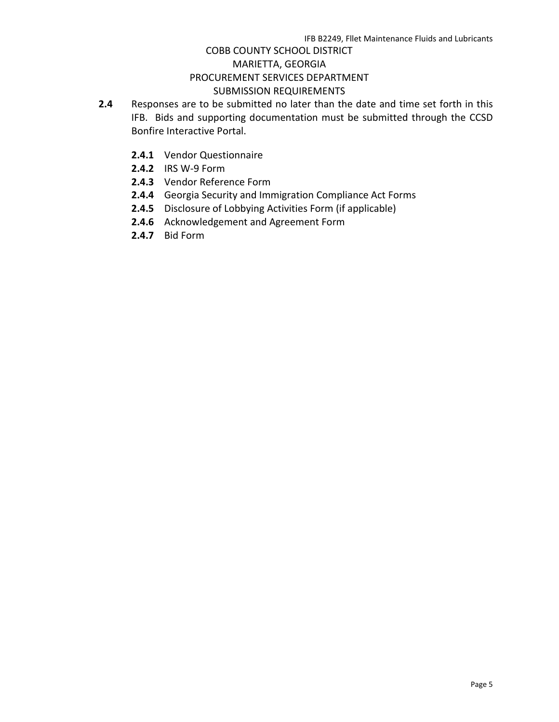## COBB COUNTY SCHOOL DISTRICT MARIETTA, GEORGIA PROCUREMENT SERVICES DEPARTMENT SUBMISSION REQUIREMENTS

- **2.4** Responses are to be submitted no later than the date and time set forth in this IFB. Bids and supporting documentation must be submitted through the CCSD Bonfire Interactive Portal.
	- **2.4.1** Vendor Questionnaire
	- **2.4.2** IRS W-9 Form
	- **2.4.3** Vendor Reference Form
	- **2.4.4** Georgia Security and Immigration Compliance Act Forms
	- **2.4.5** Disclosure of Lobbying Activities Form (if applicable)
	- **2.4.6** Acknowledgement and Agreement Form
	- **2.4.7** Bid Form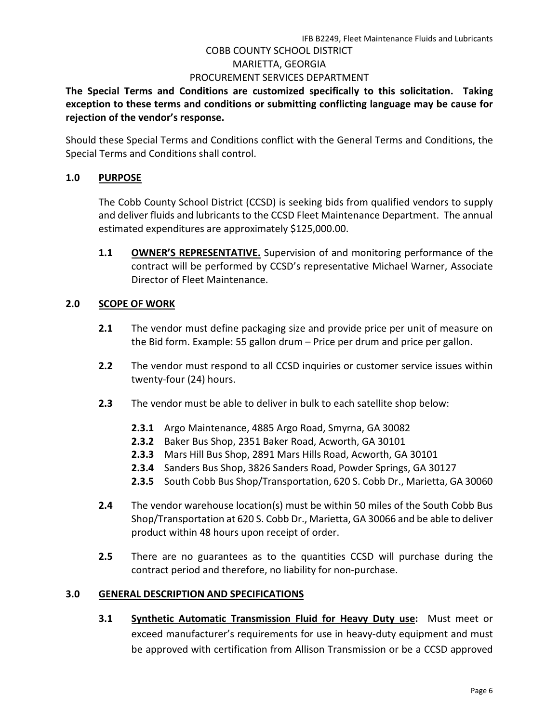**The Special Terms and Conditions are customized specifically to this solicitation. Taking exception to these terms and conditions or submitting conflicting language may be cause for rejection of the vendor's response.**

Should these Special Terms and Conditions conflict with the General Terms and Conditions, the Special Terms and Conditions shall control.

#### **1.0 PURPOSE**

The Cobb County School District (CCSD) is seeking bids from qualified vendors to supply and deliver fluids and lubricants to the CCSD Fleet Maintenance Department. The annual estimated expenditures are approximately \$125,000.00.

**1.1 OWNER'S REPRESENTATIVE.** Supervision of and monitoring performance of the contract will be performed by CCSD's representative Michael Warner, Associate Director of Fleet Maintenance.

#### **2.0 SCOPE OF WORK**

- **2.1** The vendor must define packaging size and provide price per unit of measure on the Bid form. Example: 55 gallon drum – Price per drum and price per gallon.
- **2.2** The vendor must respond to all CCSD inquiries or customer service issues within twenty-four (24) hours.
- **2.3** The vendor must be able to deliver in bulk to each satellite shop below:
	- **2.3.1** Argo Maintenance, 4885 Argo Road, Smyrna, GA 30082
	- **2.3.2** Baker Bus Shop, 2351 Baker Road, Acworth, GA 30101
	- **2.3.3** Mars Hill Bus Shop, 2891 Mars Hills Road, Acworth, GA 30101
	- **2.3.4** Sanders Bus Shop, 3826 Sanders Road, Powder Springs, GA 30127
	- **2.3.5** South Cobb Bus Shop/Transportation, 620 S. Cobb Dr., Marietta, GA 30060
- **2.4** The vendor warehouse location(s) must be within 50 miles of the South Cobb Bus Shop/Transportation at 620 S. Cobb Dr., Marietta, GA 30066 and be able to deliver product within 48 hours upon receipt of order.
- **2.5** There are no guarantees as to the quantities CCSD will purchase during the contract period and therefore, no liability for non-purchase.

#### **3.0 GENERAL DESCRIPTION AND SPECIFICATIONS**

**3.1 Synthetic Automatic Transmission Fluid for Heavy Duty use:** Must meet or exceed manufacturer's requirements for use in heavy-duty equipment and must be approved with certification from Allison Transmission or be a CCSD approved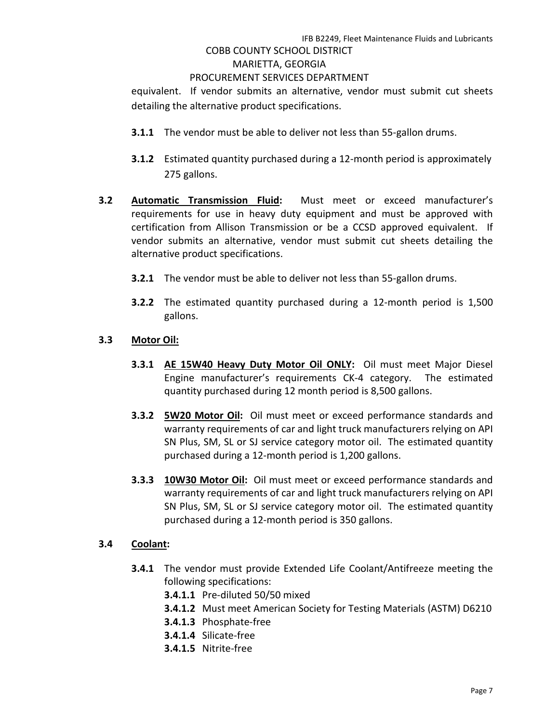#### COBB COUNTY SCHOOL DISTRICT MARIETTA, GEORGIA

#### PROCUREMENT SERVICES DEPARTMENT

equivalent. If vendor submits an alternative, vendor must submit cut sheets detailing the alternative product specifications.

- **3.1.1** The vendor must be able to deliver not less than 55-gallon drums.
- **3.1.2** Estimated quantity purchased during a 12-month period is approximately 275 gallons.
- **3.2 Automatic Transmission Fluid:** Must meet or exceed manufacturer's requirements for use in heavy duty equipment and must be approved with certification from Allison Transmission or be a CCSD approved equivalent. If vendor submits an alternative, vendor must submit cut sheets detailing the alternative product specifications.
	- **3.2.1** The vendor must be able to deliver not less than 55-gallon drums.
	- **3.2.2** The estimated quantity purchased during a 12-month period is 1,500 gallons.

#### **3.3 Motor Oil:**

- **3.3.1 AE 15W40 Heavy Duty Motor Oil ONLY:** Oil must meet Major Diesel Engine manufacturer's requirements CK-4 category. The estimated quantity purchased during 12 month period is 8,500 gallons.
- **3.3.2 5W20 Motor Oil:** Oil must meet or exceed performance standards and warranty requirements of car and light truck manufacturers relying on API SN Plus, SM, SL or SJ service category motor oil. The estimated quantity purchased during a 12-month period is 1,200 gallons.
- **3.3.3 10W30 Motor Oil:** Oil must meet or exceed performance standards and warranty requirements of car and light truck manufacturers relying on API SN Plus, SM, SL or SJ service category motor oil. The estimated quantity purchased during a 12-month period is 350 gallons.

#### **3.4 Coolant:**

- **3.4.1** The vendor must provide Extended Life Coolant/Antifreeze meeting the following specifications:
	- **3.4.1.1** Pre-diluted 50/50 mixed
	- **3.4.1.2** Must meet American Society for Testing Materials (ASTM) D6210
	- **3.4.1.3** Phosphate-free
	- **3.4.1.4** Silicate-free
	- **3.4.1.5** Nitrite-free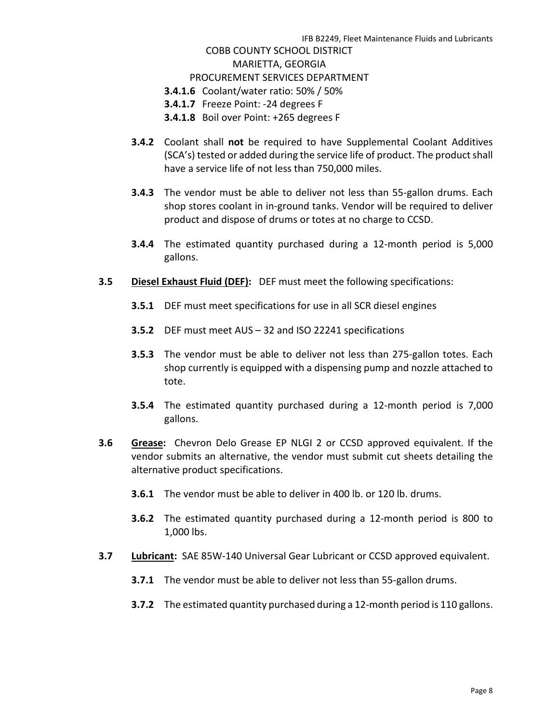- **3.4.1.6** Coolant/water ratio: 50% / 50%
- **3.4.1.7** Freeze Point: -24 degrees F
- **3.4.1.8** Boil over Point: +265 degrees F
- **3.4.2** Coolant shall **not** be required to have Supplemental Coolant Additives (SCA's) tested or added during the service life of product. The product shall have a service life of not less than 750,000 miles.
- **3.4.3** The vendor must be able to deliver not less than 55-gallon drums. Each shop stores coolant in in-ground tanks. Vendor will be required to deliver product and dispose of drums or totes at no charge to CCSD.
- **3.4.4** The estimated quantity purchased during a 12-month period is 5,000 gallons.
- **3.5 Diesel Exhaust Fluid (DEF):** DEF must meet the following specifications:
	- **3.5.1** DEF must meet specifications for use in all SCR diesel engines
	- **3.5.2** DEF must meet AUS 32 and ISO 22241 specifications
	- **3.5.3** The vendor must be able to deliver not less than 275-gallon totes. Each shop currently is equipped with a dispensing pump and nozzle attached to tote.
	- **3.5.4** The estimated quantity purchased during a 12-month period is 7,000 gallons.
- **3.6 Grease:** Chevron Delo Grease EP NLGI 2 or CCSD approved equivalent. If the vendor submits an alternative, the vendor must submit cut sheets detailing the alternative product specifications.
	- **3.6.1** The vendor must be able to deliver in 400 lb. or 120 lb. drums.
	- **3.6.2** The estimated quantity purchased during a 12-month period is 800 to 1,000 lbs.
- **3.7 Lubricant:** SAE 85W-140 Universal Gear Lubricant or CCSD approved equivalent.
	- **3.7.1** The vendor must be able to deliver not less than 55-gallon drums.
	- **3.7.2** The estimated quantity purchased during a 12-month period is 110 gallons.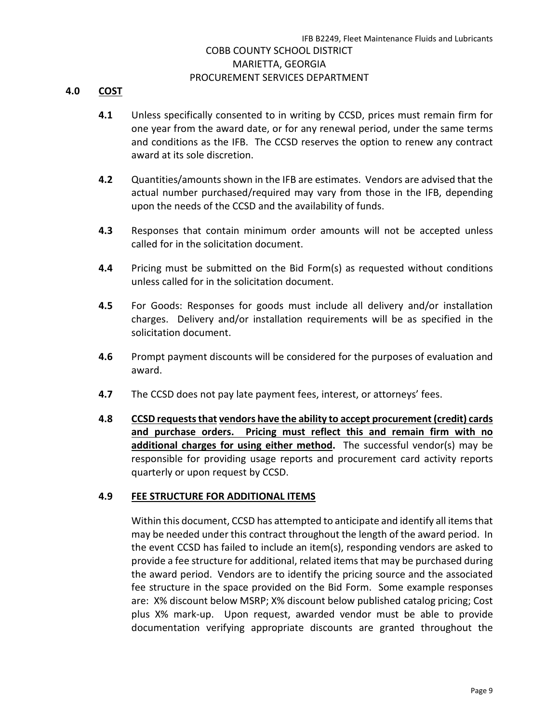#### **4.0 COST**

- **4.1** Unless specifically consented to in writing by CCSD, prices must remain firm for one year from the award date, or for any renewal period, under the same terms and conditions as the IFB. The CCSD reserves the option to renew any contract award at its sole discretion.
- **4.2** Quantities/amounts shown in the IFB are estimates. Vendors are advised that the actual number purchased/required may vary from those in the IFB, depending upon the needs of the CCSD and the availability of funds.
- **4.3** Responses that contain minimum order amounts will not be accepted unless called for in the solicitation document.
- **4.4** Pricing must be submitted on the Bid Form(s) as requested without conditions unless called for in the solicitation document.
- **4.5** For Goods: Responses for goods must include all delivery and/or installation charges. Delivery and/or installation requirements will be as specified in the solicitation document.
- **4.6** Prompt payment discounts will be considered for the purposes of evaluation and award.
- **4.7** The CCSD does not pay late payment fees, interest, or attorneys' fees.
- **4.8 CCSD requests that vendors have the ability to accept procurement (credit) cards and purchase orders. Pricing must reflect this and remain firm with no additional charges for using either method.** The successful vendor(s) may be responsible for providing usage reports and procurement card activity reports quarterly or upon request by CCSD.

#### **4.9 FEE STRUCTURE FOR ADDITIONAL ITEMS**

Within this document, CCSD has attempted to anticipate and identify all items that may be needed under this contract throughout the length of the award period. In the event CCSD has failed to include an item(s), responding vendors are asked to provide a fee structure for additional, related items that may be purchased during the award period. Vendors are to identify the pricing source and the associated fee structure in the space provided on the Bid Form. Some example responses are: X% discount below MSRP; X% discount below published catalog pricing; Cost plus X% mark-up. Upon request, awarded vendor must be able to provide documentation verifying appropriate discounts are granted throughout the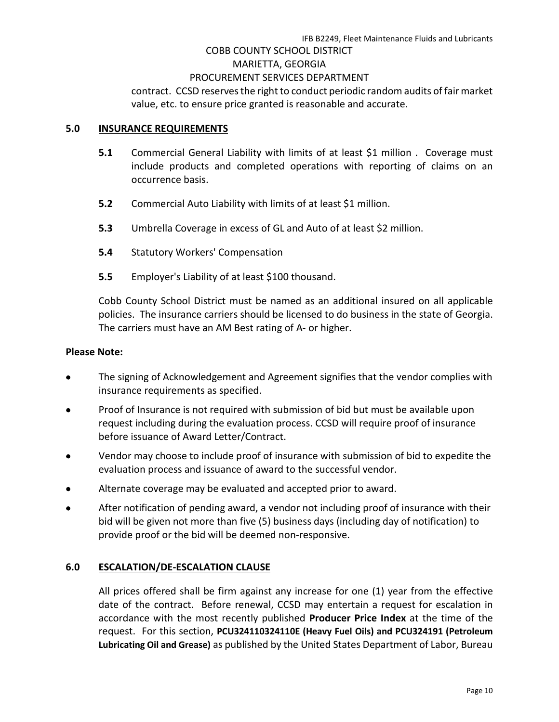#### COBB COUNTY SCHOOL DISTRICT

#### MARIETTA, GEORGIA

#### PROCUREMENT SERVICES DEPARTMENT

contract. CCSD reserves the right to conduct periodic random audits of fair market value, etc. to ensure price granted is reasonable and accurate.

#### **5.0 INSURANCE REQUIREMENTS**

- **5.1** Commercial General Liability with limits of at least \$1 million . Coverage must include products and completed operations with reporting of claims on an occurrence basis.
- **5.2** Commercial Auto Liability with limits of at least \$1 million.
- **5.3** Umbrella Coverage in excess of GL and Auto of at least \$2 million.
- **5.4** Statutory Workers' Compensation
- **5.5** Employer's Liability of at least \$100 thousand.

Cobb County School District must be named as an additional insured on all applicable policies. The insurance carriers should be licensed to do business in the state of Georgia. The carriers must have an AM Best rating of A- or higher.

#### **Please Note:**

- The signing of Acknowledgement and Agreement signifies that the vendor complies with insurance requirements as specified.
- Proof of Insurance is not required with submission of bid but must be available upon request including during the evaluation process. CCSD will require proof of insurance before issuance of Award Letter/Contract.
- Vendor may choose to include proof of insurance with submission of bid to expedite the evaluation process and issuance of award to the successful vendor.
- Alternate coverage may be evaluated and accepted prior to award.
- After notification of pending award, a vendor not including proof of insurance with their bid will be given not more than five (5) business days (including day of notification) to provide proof or the bid will be deemed non-responsive.

#### **6.0 ESCALATION/DE-ESCALATION CLAUSE**

All prices offered shall be firm against any increase for one (1) year from the effective date of the contract. Before renewal, CCSD may entertain a request for escalation in accordance with the most recently published **Producer Price Index** at the time of the request. For this section, **PCU324110324110E (Heavy Fuel Oils) and PCU324191 (Petroleum Lubricating Oil and Grease)** as published by the United States Department of Labor, Bureau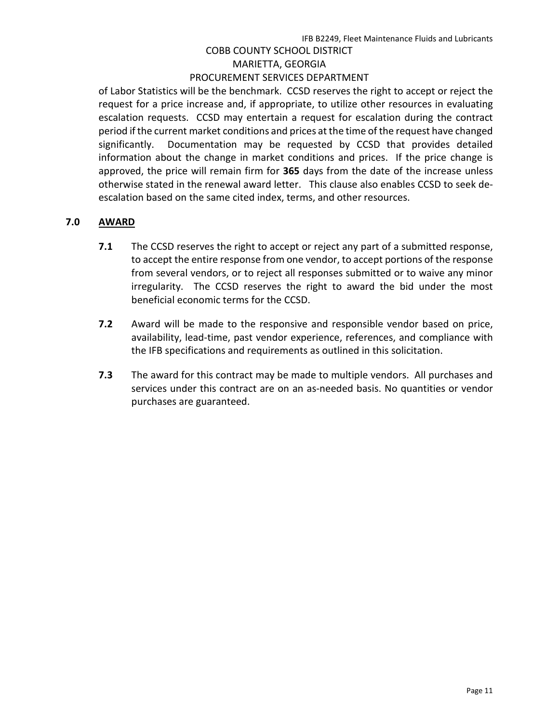of Labor Statistics will be the benchmark. CCSD reserves the right to accept or reject the request for a price increase and, if appropriate, to utilize other resources in evaluating escalation requests. CCSD may entertain a request for escalation during the contract period if the current market conditions and prices at the time of the request have changed significantly. Documentation may be requested by CCSD that provides detailed information about the change in market conditions and prices. If the price change is approved, the price will remain firm for **365** days from the date of the increase unless otherwise stated in the renewal award letter. This clause also enables CCSD to seek deescalation based on the same cited index, terms, and other resources.

# **7.0 AWARD**

- **7.1** The CCSD reserves the right to accept or reject any part of a submitted response, to accept the entire response from one vendor, to accept portions of the response from several vendors, or to reject all responses submitted or to waive any minor irregularity. The CCSD reserves the right to award the bid under the most beneficial economic terms for the CCSD.
- **7.2** Award will be made to the responsive and responsible vendor based on price, availability, lead-time, past vendor experience, references, and compliance with the IFB specifications and requirements as outlined in this solicitation.
- **7.3** The award for this contract may be made to multiple vendors. All purchases and services under this contract are on an as-needed basis. No quantities or vendor purchases are guaranteed.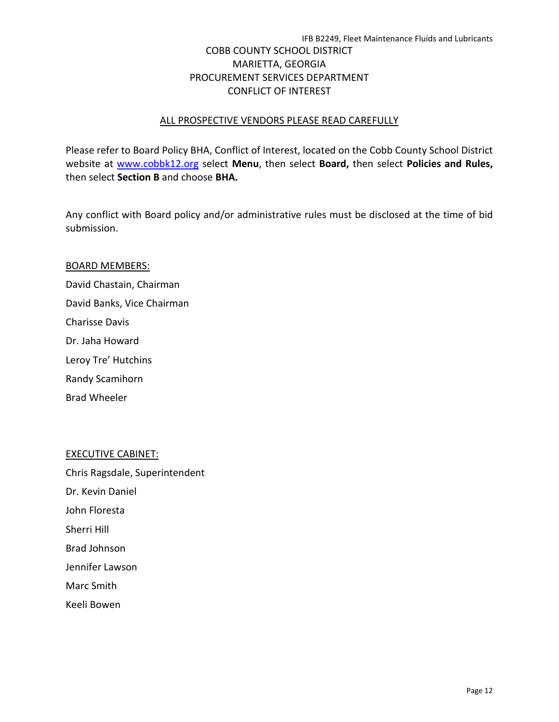# COBB COUNTY SCHOOL DISTRICT MARIETTA, GEORGIA PROCUREMENT SERVICES DEPARTMENT CONFLICT OF INTEREST

#### ALL PROSPECTIVE VENDORS PLEASE READ CAREFULLY

Please refer to Board Policy BHA, Conflict of Interest, located on the Cobb County School District website at [www.cobbk12.org](http://www.cobbk12.org/) select **Menu**, then select **Board,** then select **Policies and Rules,**  then select **Section B** and choose **BHA.**

Any conflict with Board policy and/or administrative rules must be disclosed at the time of bid submission.

#### BOARD MEMBERS:

David Chastain, Chairman David Banks, Vice Chairman Charisse Davis Dr. Jaha Howard Leroy Tre' Hutchins Randy Scamihorn

Brad Wheeler

#### EXECUTIVE CABINET:

Chris Ragsdale, Superintendent

- Dr. Kevin Daniel
- John Floresta
- Sherri Hill
- Brad Johnson
- Jennifer Lawson
- Marc Smith
- Keeli Bowen